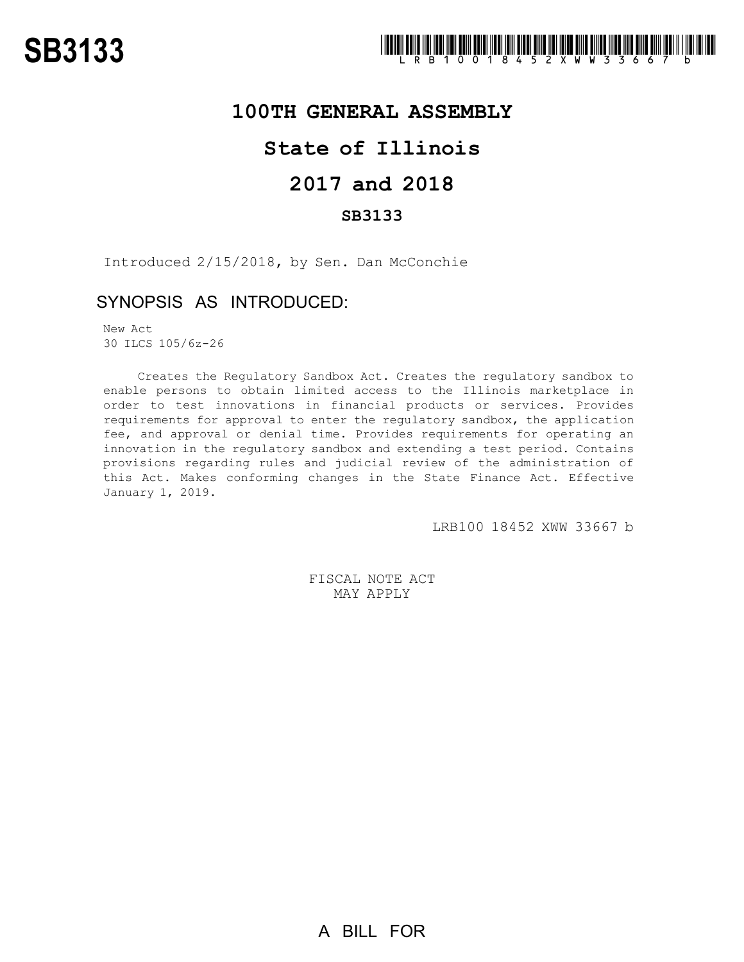

### **100TH GENERAL ASSEMBLY**

# **State of Illinois**

# **2017 and 2018**

### **SB3133**

Introduced 2/15/2018, by Sen. Dan McConchie

## SYNOPSIS AS INTRODUCED:

New Act 30 ILCS 105/6z-26

Creates the Regulatory Sandbox Act. Creates the regulatory sandbox to enable persons to obtain limited access to the Illinois marketplace in order to test innovations in financial products or services. Provides requirements for approval to enter the regulatory sandbox, the application fee, and approval or denial time. Provides requirements for operating an innovation in the regulatory sandbox and extending a test period. Contains provisions regarding rules and judicial review of the administration of this Act. Makes conforming changes in the State Finance Act. Effective January 1, 2019.

LRB100 18452 XWW 33667 b

FISCAL NOTE ACT MAY APPLY

A BILL FOR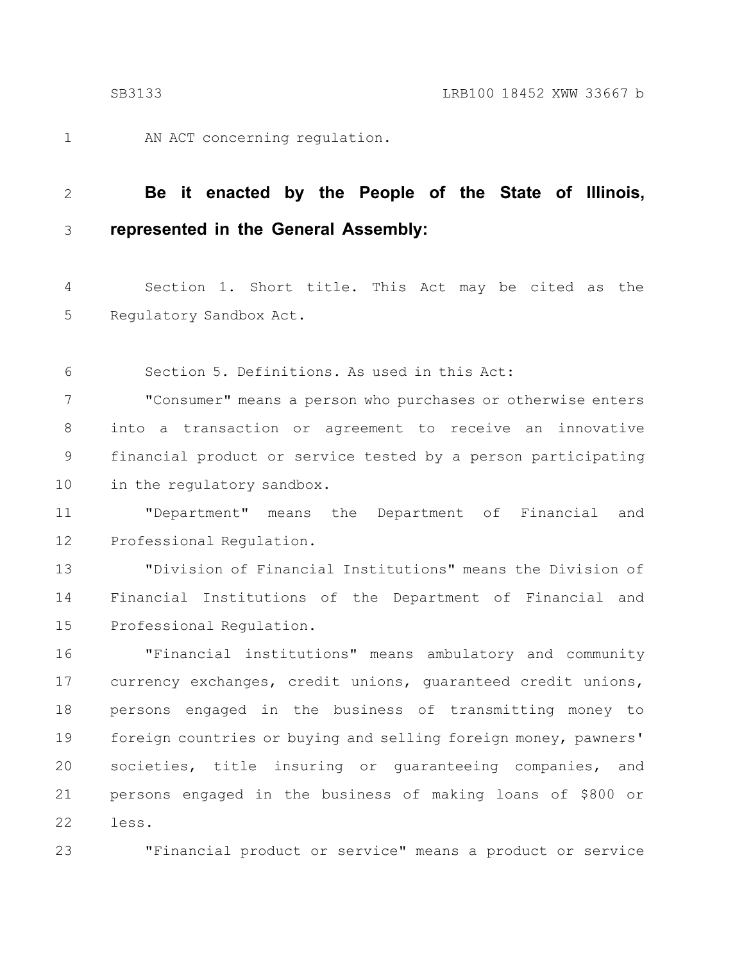1

23

AN ACT concerning regulation.

#### **Be it enacted by the People of the State of Illinois, represented in the General Assembly:** 2 3

Section 1. Short title. This Act may be cited as the Regulatory Sandbox Act. 4 5

Section 5. Definitions. As used in this Act: 6

"Consumer" means a person who purchases or otherwise enters into a transaction or agreement to receive an innovative financial product or service tested by a person participating in the regulatory sandbox. 7 8 9 10

"Department" means the Department of Financial and Professional Regulation. 11 12

"Division of Financial Institutions" means the Division of Financial Institutions of the Department of Financial and Professional Regulation. 13 14 15

"Financial institutions" means ambulatory and community currency exchanges, credit unions, guaranteed credit unions, persons engaged in the business of transmitting money to foreign countries or buying and selling foreign money, pawners' societies, title insuring or guaranteeing companies, and persons engaged in the business of making loans of \$800 or less. 16 17 18 19 20 21 22

"Financial product or service" means a product or service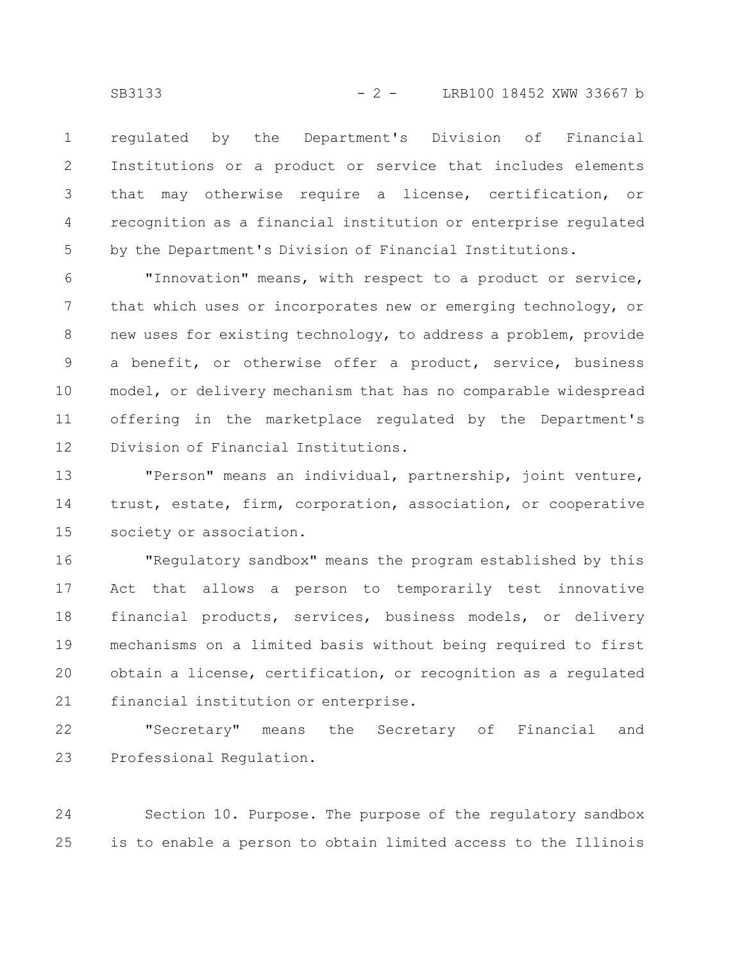regulated by the Department's Division of Financial Institutions or a product or service that includes elements that may otherwise require a license, certification, or recognition as a financial institution or enterprise regulated by the Department's Division of Financial Institutions. 1 2 3 4 5

"Innovation" means, with respect to a product or service, that which uses or incorporates new or emerging technology, or new uses for existing technology, to address a problem, provide a benefit, or otherwise offer a product, service, business model, or delivery mechanism that has no comparable widespread offering in the marketplace regulated by the Department's Division of Financial Institutions. 6 7 8 9 10 11 12

"Person" means an individual, partnership, joint venture, trust, estate, firm, corporation, association, or cooperative society or association. 13 14 15

"Regulatory sandbox" means the program established by this Act that allows a person to temporarily test innovative financial products, services, business models, or delivery mechanisms on a limited basis without being required to first obtain a license, certification, or recognition as a regulated financial institution or enterprise. 16 17 18 19 20 21

"Secretary" means the Secretary of Financial and Professional Regulation. 22 23

Section 10. Purpose. The purpose of the regulatory sandbox is to enable a person to obtain limited access to the Illinois 24 25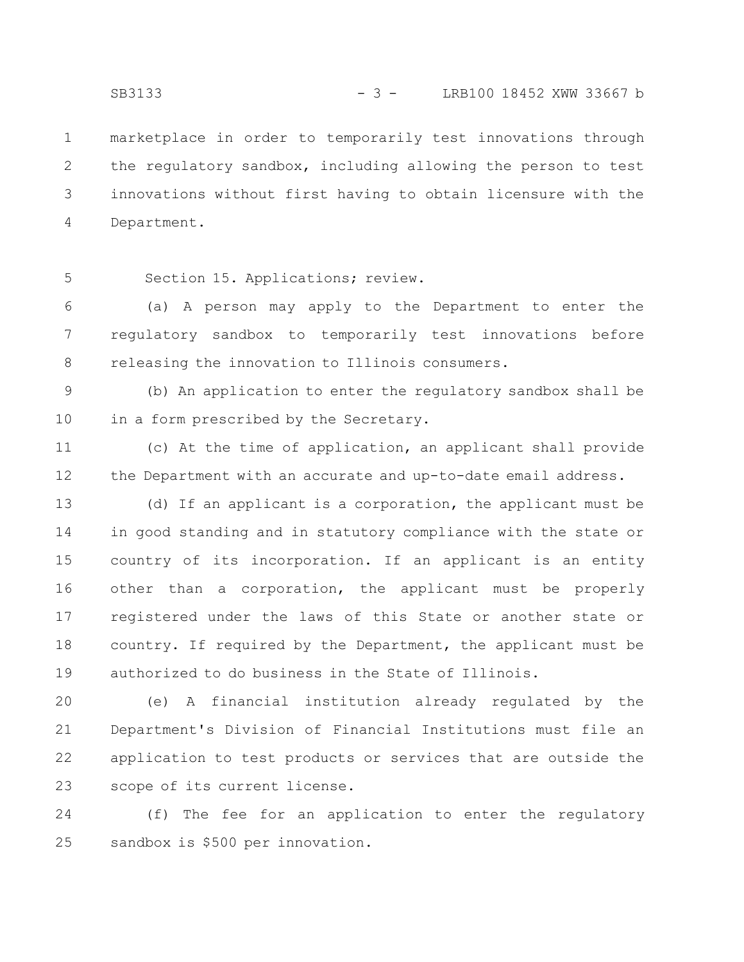marketplace in order to temporarily test innovations through the regulatory sandbox, including allowing the person to test innovations without first having to obtain licensure with the Department. 1 2 3 4

5

Section 15. Applications; review.

(a) A person may apply to the Department to enter the regulatory sandbox to temporarily test innovations before releasing the innovation to Illinois consumers. 6 7 8

(b) An application to enter the regulatory sandbox shall be in a form prescribed by the Secretary. 9 10

(c) At the time of application, an applicant shall provide the Department with an accurate and up-to-date email address. 11 12

(d) If an applicant is a corporation, the applicant must be in good standing and in statutory compliance with the state or country of its incorporation. If an applicant is an entity other than a corporation, the applicant must be properly registered under the laws of this State or another state or country. If required by the Department, the applicant must be authorized to do business in the State of Illinois. 13 14 15 16 17 18 19

(e) A financial institution already regulated by the Department's Division of Financial Institutions must file an application to test products or services that are outside the scope of its current license. 20 21 22 23

(f) The fee for an application to enter the regulatory sandbox is \$500 per innovation. 24 25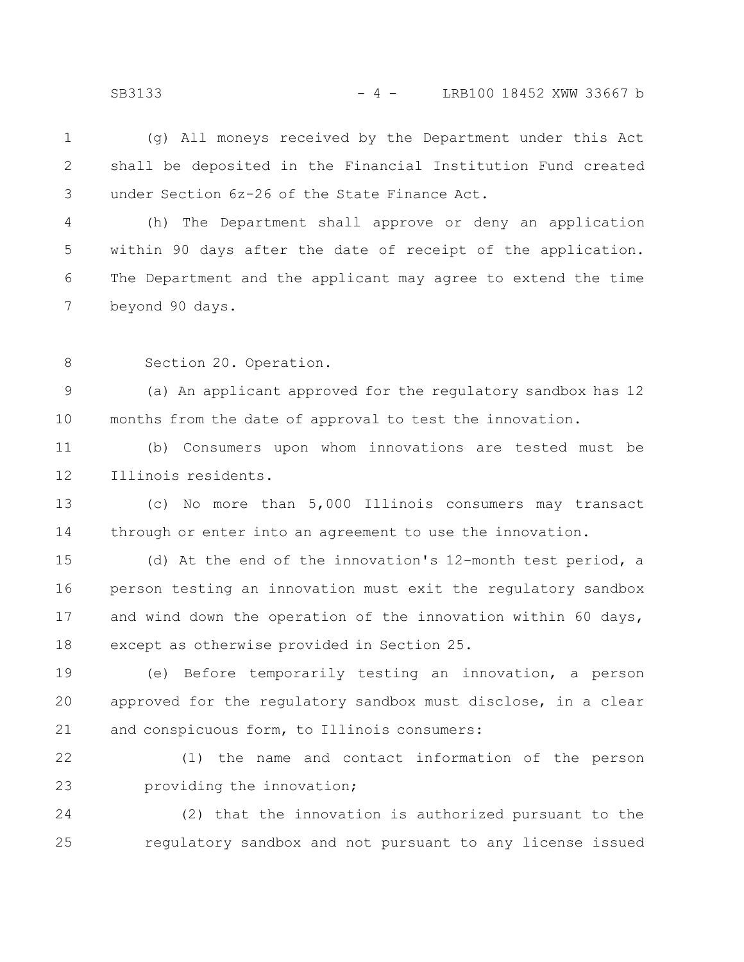(g) All moneys received by the Department under this Act shall be deposited in the Financial Institution Fund created under Section 6z-26 of the State Finance Act. 1 2 3

(h) The Department shall approve or deny an application within 90 days after the date of receipt of the application. The Department and the applicant may agree to extend the time beyond 90 days. 4 5 6 7

Section 20. Operation. 8

(a) An applicant approved for the regulatory sandbox has 12 months from the date of approval to test the innovation. 9 10

(b) Consumers upon whom innovations are tested must be Illinois residents. 11 12

(c) No more than 5,000 Illinois consumers may transact through or enter into an agreement to use the innovation. 13 14

(d) At the end of the innovation's 12-month test period, a person testing an innovation must exit the regulatory sandbox and wind down the operation of the innovation within 60 days, except as otherwise provided in Section 25. 15 16 17 18

(e) Before temporarily testing an innovation, a person approved for the regulatory sandbox must disclose, in a clear and conspicuous form, to Illinois consumers: 19 20 21

(1) the name and contact information of the person providing the innovation; 22 23

(2) that the innovation is authorized pursuant to the regulatory sandbox and not pursuant to any license issued 24 25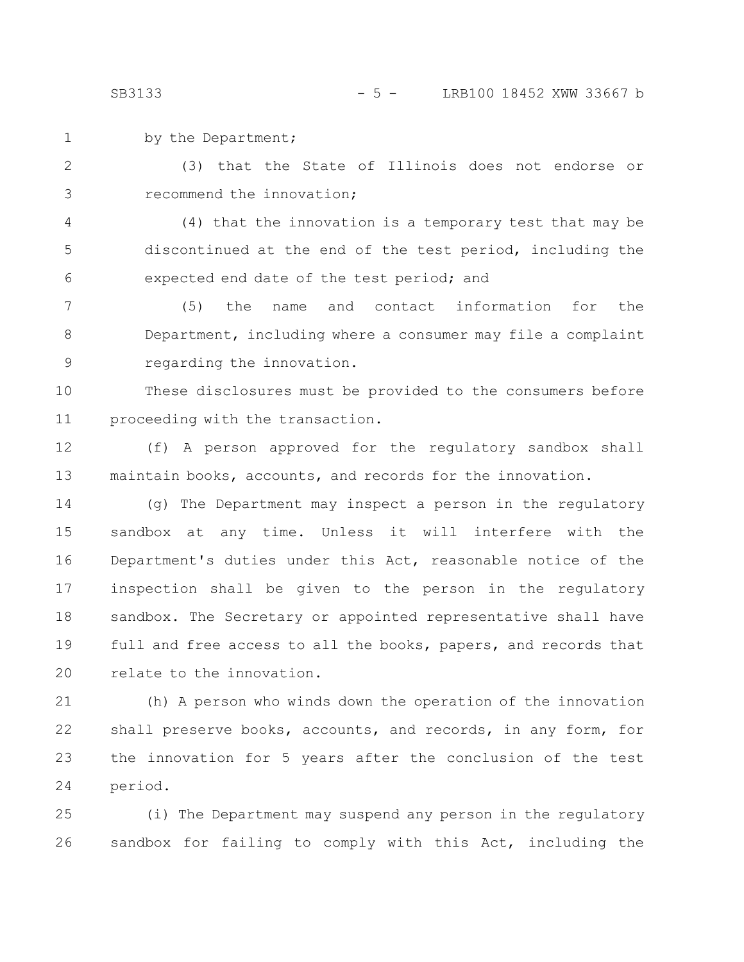by the Department; 1

(3) that the State of Illinois does not endorse or recommend the innovation; 2 3

(4) that the innovation is a temporary test that may be discontinued at the end of the test period, including the expected end date of the test period; and 4 5 6

(5) the name and contact information for the Department, including where a consumer may file a complaint regarding the innovation. 7 8 9

These disclosures must be provided to the consumers before proceeding with the transaction. 10 11

(f) A person approved for the regulatory sandbox shall maintain books, accounts, and records for the innovation. 12 13

(g) The Department may inspect a person in the regulatory sandbox at any time. Unless it will interfere with the Department's duties under this Act, reasonable notice of the inspection shall be given to the person in the regulatory sandbox. The Secretary or appointed representative shall have full and free access to all the books, papers, and records that relate to the innovation. 14 15 16 17 18 19 20

(h) A person who winds down the operation of the innovation shall preserve books, accounts, and records, in any form, for the innovation for 5 years after the conclusion of the test period. 21 22 23 24

(i) The Department may suspend any person in the regulatory sandbox for failing to comply with this Act, including the 25 26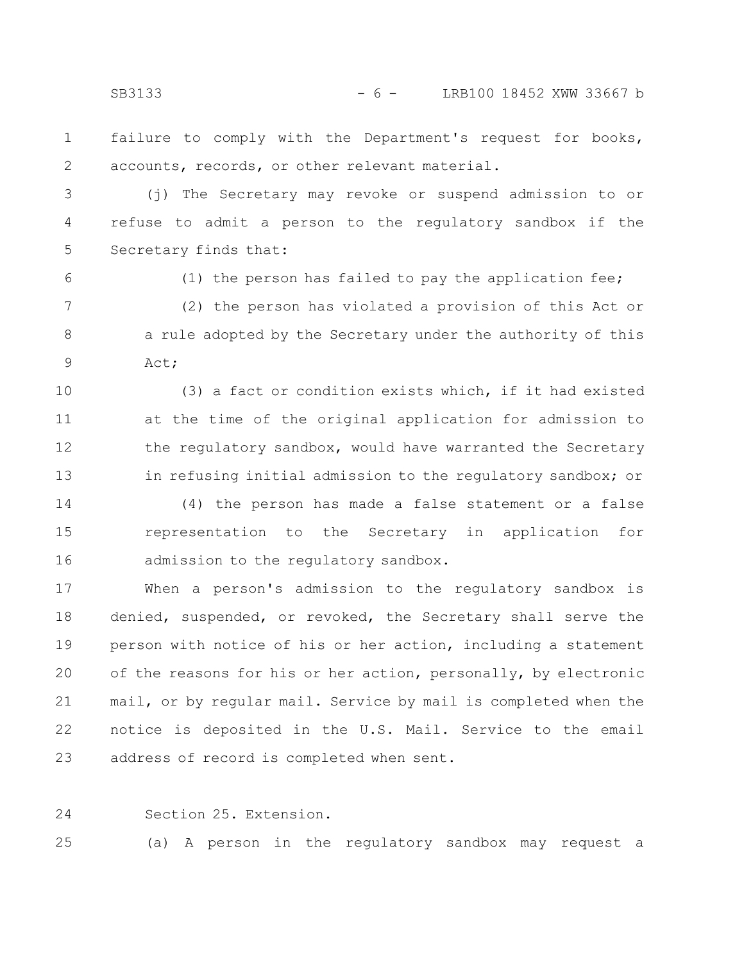failure to comply with the Department's request for books, accounts, records, or other relevant material. 1 2

(j) The Secretary may revoke or suspend admission to or refuse to admit a person to the regulatory sandbox if the Secretary finds that: 3 4 5

6

(1) the person has failed to pay the application fee;

(2) the person has violated a provision of this Act or a rule adopted by the Secretary under the authority of this Act; 7 8 9

(3) a fact or condition exists which, if it had existed at the time of the original application for admission to the regulatory sandbox, would have warranted the Secretary in refusing initial admission to the regulatory sandbox; or 10 11 12 13

(4) the person has made a false statement or a false representation to the Secretary in application for admission to the regulatory sandbox. 14 15 16

When a person's admission to the regulatory sandbox is denied, suspended, or revoked, the Secretary shall serve the person with notice of his or her action, including a statement of the reasons for his or her action, personally, by electronic mail, or by regular mail. Service by mail is completed when the notice is deposited in the U.S. Mail. Service to the email address of record is completed when sent. 17 18 19 20 21 22 23

24

Section 25. Extension.

(a) A person in the regulatory sandbox may request a 25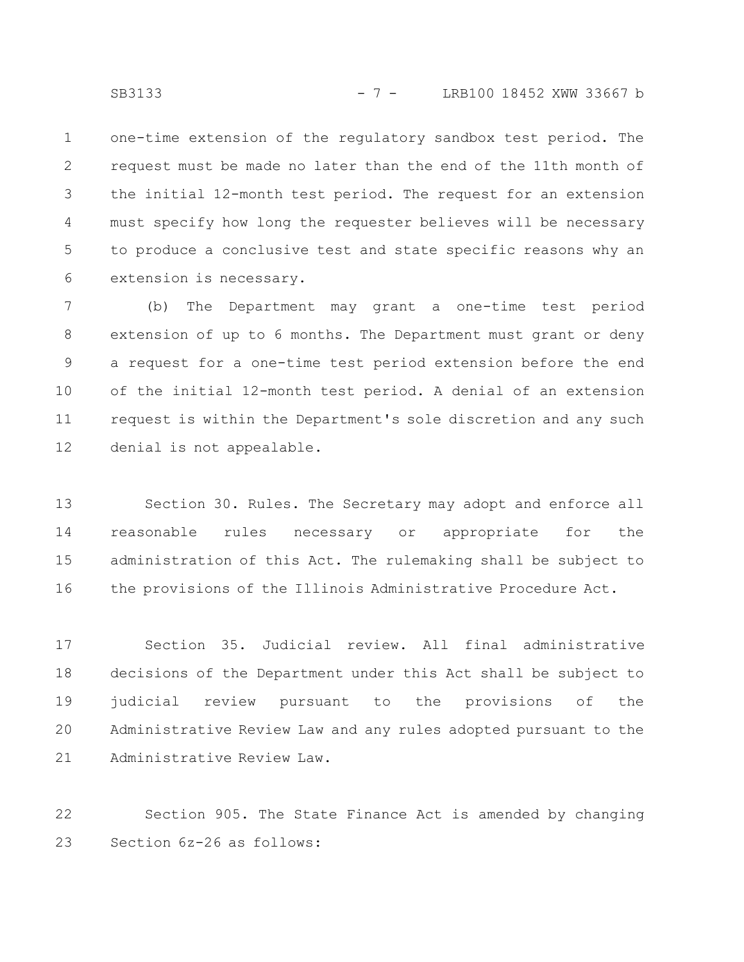one-time extension of the regulatory sandbox test period. The request must be made no later than the end of the 11th month of the initial 12-month test period. The request for an extension must specify how long the requester believes will be necessary to produce a conclusive test and state specific reasons why an extension is necessary. 1 2 3 4 5 6

(b) The Department may grant a one-time test period extension of up to 6 months. The Department must grant or deny a request for a one-time test period extension before the end of the initial 12-month test period. A denial of an extension request is within the Department's sole discretion and any such denial is not appealable. 7 8 9 10 11 12

Section 30. Rules. The Secretary may adopt and enforce all reasonable rules necessary or appropriate for the administration of this Act. The rulemaking shall be subject to the provisions of the Illinois Administrative Procedure Act. 13 14 15 16

Section 35. Judicial review. All final administrative decisions of the Department under this Act shall be subject to judicial review pursuant to the provisions of the Administrative Review Law and any rules adopted pursuant to the Administrative Review Law. 17 18 19 20 21

Section 905. The State Finance Act is amended by changing Section 6z-26 as follows: 22 23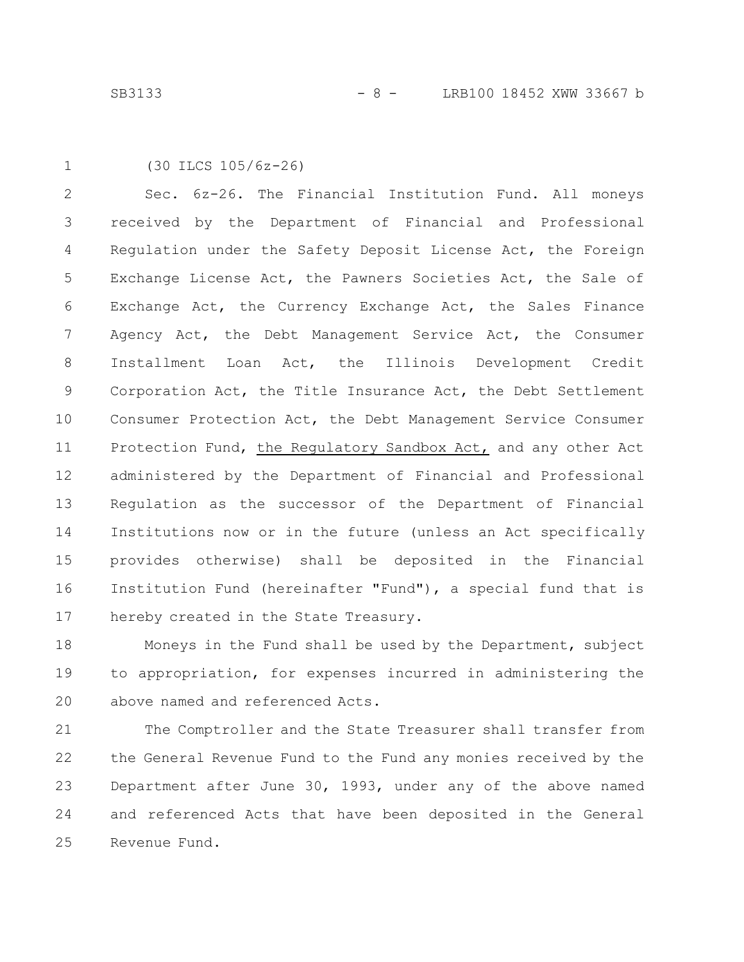```
(30 ILCS 105/6z-26)
1
```
Sec. 6z-26. The Financial Institution Fund. All moneys received by the Department of Financial and Professional Regulation under the Safety Deposit License Act, the Foreign Exchange License Act, the Pawners Societies Act, the Sale of Exchange Act, the Currency Exchange Act, the Sales Finance Agency Act, the Debt Management Service Act, the Consumer Installment Loan Act, the Illinois Development Credit Corporation Act, the Title Insurance Act, the Debt Settlement Consumer Protection Act, the Debt Management Service Consumer Protection Fund, the Regulatory Sandbox Act, and any other Act administered by the Department of Financial and Professional Regulation as the successor of the Department of Financial Institutions now or in the future (unless an Act specifically provides otherwise) shall be deposited in the Financial Institution Fund (hereinafter "Fund"), a special fund that is hereby created in the State Treasury. 2 3 4 5 6 7 8 9 10 11 12 13 14 15 16 17

Moneys in the Fund shall be used by the Department, subject to appropriation, for expenses incurred in administering the above named and referenced Acts. 18 19 20

The Comptroller and the State Treasurer shall transfer from the General Revenue Fund to the Fund any monies received by the Department after June 30, 1993, under any of the above named and referenced Acts that have been deposited in the General Revenue Fund. 21 22 23 24 25